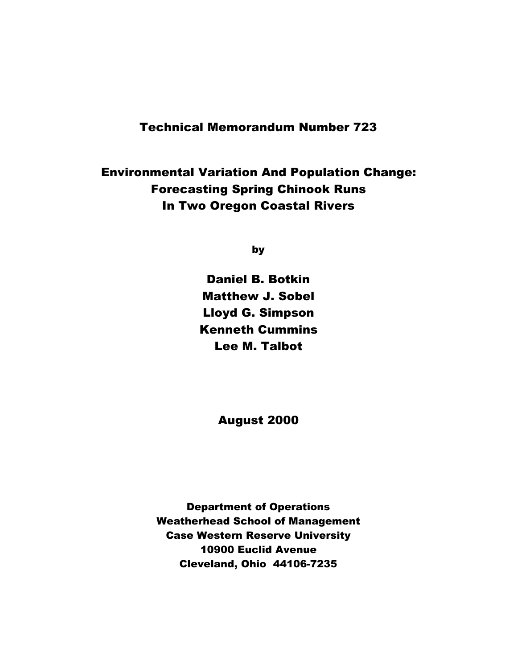## Technical Memorandum Number 723

## Environmental Variation And Population Change: Forecasting Spring Chinook Runs In Two Oregon Coastal Rivers

by

Daniel B. Botkin Matthew J. Sobel Lloyd G. Simpson Kenneth Cummins Lee M. Talbot

August 2000

Department of Operations Weatherhead School of Management Case Western Reserve University 10900 Euclid Avenue Cleveland, Ohio 44106-7235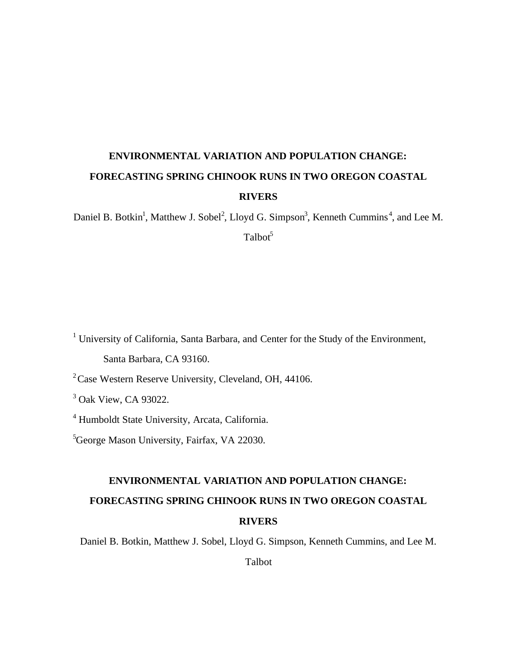# **ENVIRONMENTAL VARIATION AND POPULATION CHANGE: FORECASTING SPRING CHINOOK RUNS IN TWO OREGON COASTAL RIVERS**

Daniel B. Botkin<sup>1</sup>, Matthew J. Sobel<sup>2</sup>, Lloyd G. Simpson<sup>3</sup>, Kenneth Cummins<sup>4</sup>, and Lee M.  $Talbot<sup>5</sup>$ 

<sup>1</sup> University of California, Santa Barbara, and Center for the Study of the Environment, Santa Barbara, CA 93160.

<sup>2</sup> Case Western Reserve University, Cleveland, OH, 44106.

<sup>3</sup> Oak View, CA 93022.

4 Humboldt State University, Arcata, California.

<sup>5</sup>George Mason University, Fairfax, VA 22030.

# **ENVIRONMENTAL VARIATION AND POPULATION CHANGE: FORECASTING SPRING CHINOOK RUNS IN TWO OREGON COASTAL RIVERS**

Daniel B. Botkin, Matthew J. Sobel, Lloyd G. Simpson, Kenneth Cummins, and Lee M.

Talbot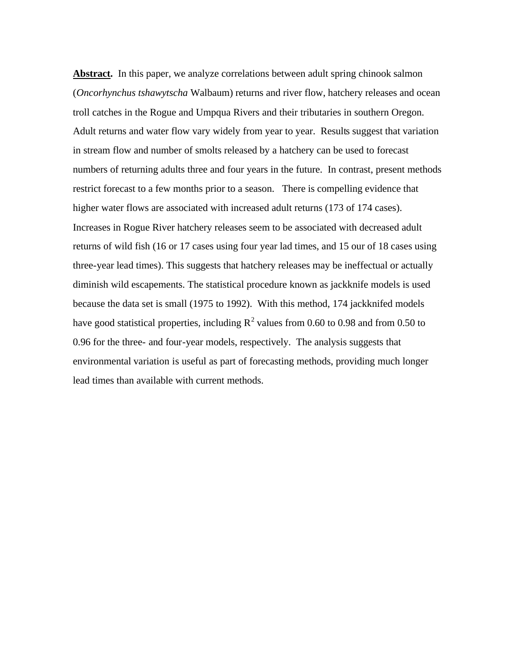Abstract. In this paper, we analyze correlations between adult spring chinook salmon (*Oncorhynchus tshawytscha* Walbaum) returns and river flow, hatchery releases and ocean troll catches in the Rogue and Umpqua Rivers and their tributaries in southern Oregon. Adult returns and water flow vary widely from year to year. Results suggest that variation in stream flow and number of smolts released by a hatchery can be used to forecast numbers of returning adults three and four years in the future. In contrast, present methods restrict forecast to a few months prior to a season. There is compelling evidence that higher water flows are associated with increased adult returns (173 of 174 cases). Increases in Rogue River hatchery releases seem to be associated with decreased adult returns of wild fish (16 or 17 cases using four year lad times, and 15 our of 18 cases using three-year lead times). This suggests that hatchery releases may be ineffectual or actually diminish wild escapements. The statistical procedure known as jackknife models is used because the data set is small (1975 to 1992). With this method, 174 jackknifed models have good statistical properties, including  $R^2$  values from 0.60 to 0.98 and from 0.50 to 0.96 for the three- and four-year models, respectively. The analysis suggests that environmental variation is useful as part of forecasting methods, providing much longer lead times than available with current methods.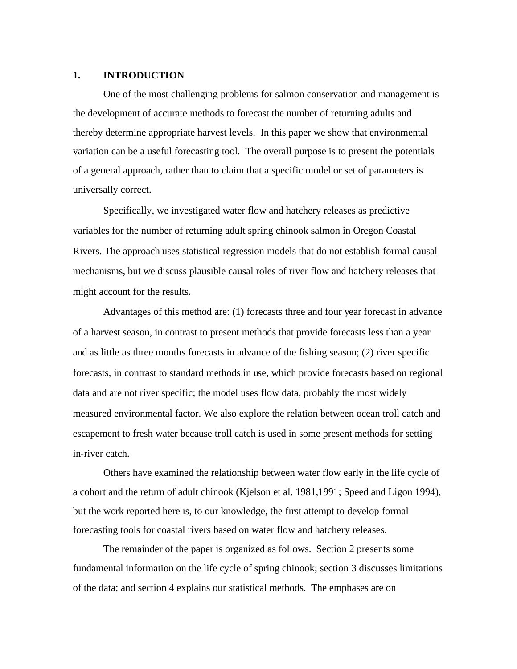### **1. INTRODUCTION**

One of the most challenging problems for salmon conservation and management is the development of accurate methods to forecast the number of returning adults and thereby determine appropriate harvest levels. In this paper we show that environmental variation can be a useful forecasting tool. The overall purpose is to present the potentials of a general approach, rather than to claim that a specific model or set of parameters is universally correct.

Specifically, we investigated water flow and hatchery releases as predictive variables for the number of returning adult spring chinook salmon in Oregon Coastal Rivers. The approach uses statistical regression models that do not establish formal causal mechanisms, but we discuss plausible causal roles of river flow and hatchery releases that might account for the results.

Advantages of this method are: (1) forecasts three and four year forecast in advance of a harvest season, in contrast to present methods that provide forecasts less than a year and as little as three months forecasts in advance of the fishing season; (2) river specific forecasts, in contrast to standard methods in use, which provide forecasts based on regional data and are not river specific; the model uses flow data, probably the most widely measured environmental factor. We also explore the relation between ocean troll catch and escapement to fresh water because troll catch is used in some present methods for setting in-river catch.

Others have examined the relationship between water flow early in the life cycle of a cohort and the return of adult chinook (Kjelson et al. 1981,1991; Speed and Ligon 1994), but the work reported here is, to our knowledge, the first attempt to develop formal forecasting tools for coastal rivers based on water flow and hatchery releases.

The remainder of the paper is organized as follows. Section 2 presents some fundamental information on the life cycle of spring chinook; section 3 discusses limitations of the data; and section 4 explains our statistical methods. The emphases are on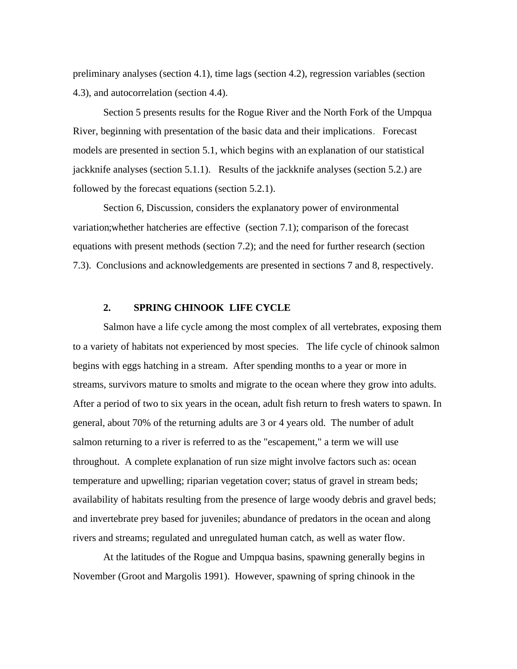preliminary analyses (section 4.1), time lags (section 4.2), regression variables (section 4.3), and autocorrelation (section 4.4).

Section 5 presents results for the Rogue River and the North Fork of the Umpqua River, beginning with presentation of the basic data and their implications. Forecast models are presented in section 5.1, which begins with an explanation of our statistical jackknife analyses (section 5.1.1). Results of the jackknife analyses (section 5.2.) are followed by the forecast equations (section 5.2.1).

Section 6, Discussion, considers the explanatory power of environmental variation;whether hatcheries are effective (section 7.1); comparison of the forecast equations with present methods (section 7.2); and the need for further research (section 7.3). Conclusions and acknowledgements are presented in sections 7 and 8, respectively.

### **2. SPRING CHINOOK LIFE CYCLE**

Salmon have a life cycle among the most complex of all vertebrates, exposing them to a variety of habitats not experienced by most species. The life cycle of chinook salmon begins with eggs hatching in a stream. After spending months to a year or more in streams, survivors mature to smolts and migrate to the ocean where they grow into adults. After a period of two to six years in the ocean, adult fish return to fresh waters to spawn. In general, about 70% of the returning adults are 3 or 4 years old. The number of adult salmon returning to a river is referred to as the "escapement," a term we will use throughout. A complete explanation of run size might involve factors such as: ocean temperature and upwelling; riparian vegetation cover; status of gravel in stream beds; availability of habitats resulting from the presence of large woody debris and gravel beds; and invertebrate prey based for juveniles; abundance of predators in the ocean and along rivers and streams; regulated and unregulated human catch, as well as water flow.

At the latitudes of the Rogue and Umpqua basins, spawning generally begins in November (Groot and Margolis 1991). However, spawning of spring chinook in the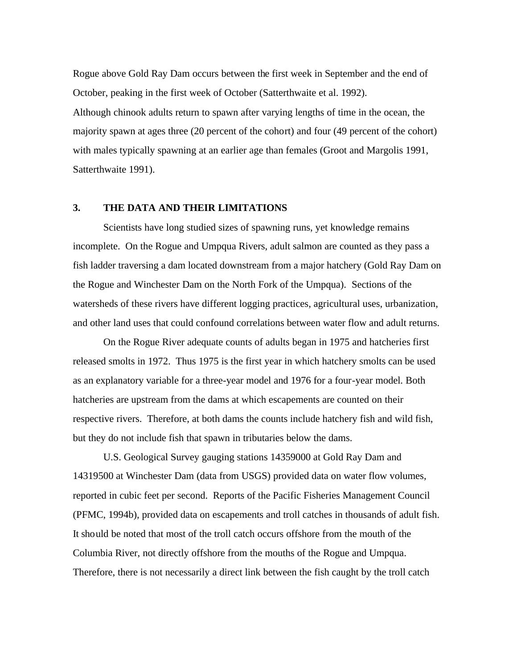Rogue above Gold Ray Dam occurs between the first week in September and the end of October, peaking in the first week of October (Satterthwaite et al. 1992).

Although chinook adults return to spawn after varying lengths of time in the ocean, the majority spawn at ages three (20 percent of the cohort) and four (49 percent of the cohort) with males typically spawning at an earlier age than females (Groot and Margolis 1991, Satterthwaite 1991).

### **3. THE DATA AND THEIR LIMITATIONS**

Scientists have long studied sizes of spawning runs, yet knowledge remains incomplete. On the Rogue and Umpqua Rivers, adult salmon are counted as they pass a fish ladder traversing a dam located downstream from a major hatchery (Gold Ray Dam on the Rogue and Winchester Dam on the North Fork of the Umpqua). Sections of the watersheds of these rivers have different logging practices, agricultural uses, urbanization, and other land uses that could confound correlations between water flow and adult returns.

On the Rogue River adequate counts of adults began in 1975 and hatcheries first released smolts in 1972. Thus 1975 is the first year in which hatchery smolts can be used as an explanatory variable for a three-year model and 1976 for a four-year model. Both hatcheries are upstream from the dams at which escapements are counted on their respective rivers. Therefore, at both dams the counts include hatchery fish and wild fish, but they do not include fish that spawn in tributaries below the dams.

U.S. Geological Survey gauging stations 14359000 at Gold Ray Dam and 14319500 at Winchester Dam (data from USGS) provided data on water flow volumes, reported in cubic feet per second. Reports of the Pacific Fisheries Management Council (PFMC, 1994b), provided data on escapements and troll catches in thousands of adult fish. It should be noted that most of the troll catch occurs offshore from the mouth of the Columbia River, not directly offshore from the mouths of the Rogue and Umpqua. Therefore, there is not necessarily a direct link between the fish caught by the troll catch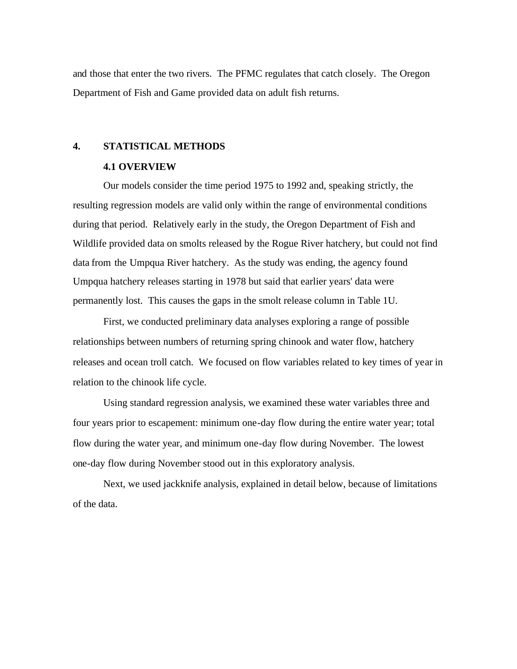and those that enter the two rivers. The PFMC regulates that catch closely. The Oregon Department of Fish and Game provided data on adult fish returns.

### **4. STATISTICAL METHODS**

### **4.1 OVERVIEW**

Our models consider the time period 1975 to 1992 and, speaking strictly, the resulting regression models are valid only within the range of environmental conditions during that period. Relatively early in the study, the Oregon Department of Fish and Wildlife provided data on smolts released by the Rogue River hatchery, but could not find data from the Umpqua River hatchery. As the study was ending, the agency found Umpqua hatchery releases starting in 1978 but said that earlier years' data were permanently lost. This causes the gaps in the smolt release column in Table 1U.

First, we conducted preliminary data analyses exploring a range of possible relationships between numbers of returning spring chinook and water flow, hatchery releases and ocean troll catch. We focused on flow variables related to key times of year in relation to the chinook life cycle.

Using standard regression analysis, we examined these water variables three and four years prior to escapement: minimum one-day flow during the entire water year; total flow during the water year, and minimum one-day flow during November. The lowest one-day flow during November stood out in this exploratory analysis.

Next, we used jackknife analysis, explained in detail below, because of limitations of the data.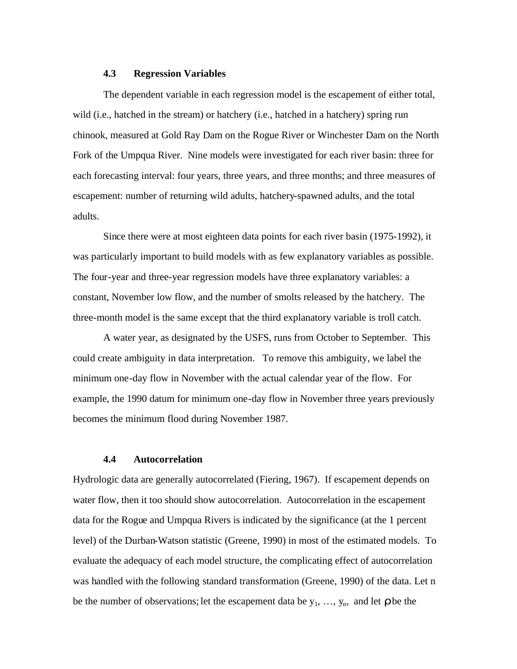### **4.3 Regression Variables**

The dependent variable in each regression model is the escapement of either total, wild (i.e., hatched in the stream) or hatchery (i.e., hatched in a hatchery) spring run chinook, measured at Gold Ray Dam on the Rogue River or Winchester Dam on the North Fork of the Umpqua River. Nine models were investigated for each river basin: three for each forecasting interval: four years, three years, and three months; and three measures of escapement: number of returning wild adults, hatchery-spawned adults, and the total adults.

Since there were at most eighteen data points for each river basin (1975-1992), it was particularly important to build models with as few explanatory variables as possible. The four-year and three-year regression models have three explanatory variables: a constant, November low flow, and the number of smolts released by the hatchery. The three-month model is the same except that the third explanatory variable is troll catch.

A water year, as designated by the USFS, runs from October to September. This could create ambiguity in data interpretation. To remove this ambiguity, we label the minimum one-day flow in November with the actual calendar year of the flow. For example, the 1990 datum for minimum one-day flow in November three years previously becomes the minimum flood during November 1987.

### **4.4 Autocorrelation**

Hydrologic data are generally autocorrelated (Fiering, 1967). If escapement depends on water flow, then it too should show autocorrelation. Autocorrelation in the escapement data for the Rogue and Umpqua Rivers is indicated by the significance (at the 1 percent level) of the Durban-Watson statistic (Greene, 1990) in most of the estimated models. To evaluate the adequacy of each model structure, the complicating effect of autocorrelation was handled with the following standard transformation (Greene, 1990) of the data. Let n be the number of observations; let the escapement data be  $y_1$ , ...,  $y_n$ , and let **r** be the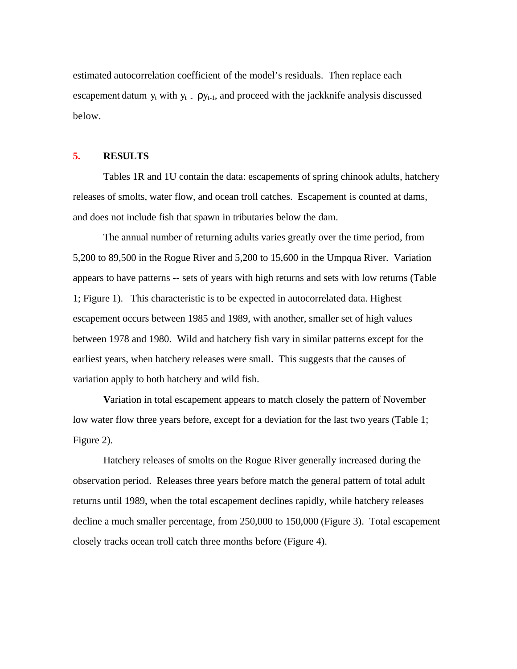estimated autocorrelation coefficient of the model's residuals. Then replace each escapement datum  $y_t$  with  $y_t$   $\Delta$  py<sub>t-1</sub>, and proceed with the jackknife analysis discussed below.

### **5. RESULTS**

Tables 1R and 1U contain the data: escapements of spring chinook adults, hatchery releases of smolts, water flow, and ocean troll catches. Escapement is counted at dams, and does not include fish that spawn in tributaries below the dam.

The annual number of returning adults varies greatly over the time period, from 5,200 to 89,500 in the Rogue River and 5,200 to 15,600 in the Umpqua River. Variation appears to have patterns -- sets of years with high returns and sets with low returns (Table 1; Figure 1). This characteristic is to be expected in autocorrelated data. Highest escapement occurs between 1985 and 1989, with another, smaller set of high values between 1978 and 1980. Wild and hatchery fish vary in similar patterns except for the earliest years, when hatchery releases were small. This suggests that the causes of variation apply to both hatchery and wild fish.

**V**ariation in total escapement appears to match closely the pattern of November low water flow three years before, except for a deviation for the last two years (Table 1; Figure 2).

Hatchery releases of smolts on the Rogue River generally increased during the observation period. Releases three years before match the general pattern of total adult returns until 1989, when the total escapement declines rapidly, while hatchery releases decline a much smaller percentage, from 250,000 to 150,000 (Figure 3). Total escapement closely tracks ocean troll catch three months before (Figure 4).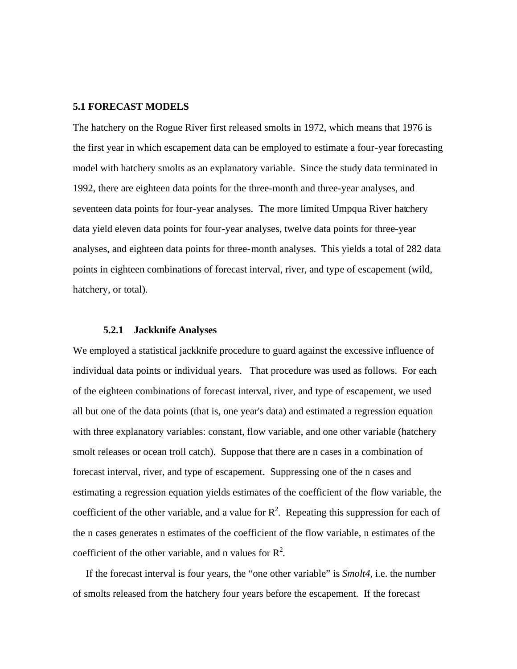### **5.1 FORECAST MODELS**

The hatchery on the Rogue River first released smolts in 1972, which means that 1976 is the first year in which escapement data can be employed to estimate a four-year forecasting model with hatchery smolts as an explanatory variable. Since the study data terminated in 1992, there are eighteen data points for the three-month and three-year analyses, and seventeen data points for four-year analyses. The more limited Umpqua River hatchery data yield eleven data points for four-year analyses, twelve data points for three-year analyses, and eighteen data points for three-month analyses. This yields a total of 282 data points in eighteen combinations of forecast interval, river, and type of escapement (wild, hatchery, or total).

#### **5.2.1 Jackknife Analyses**

We employed a statistical jackknife procedure to guard against the excessive influence of individual data points or individual years. That procedure was used as follows. For each of the eighteen combinations of forecast interval, river, and type of escapement, we used all but one of the data points (that is, one year's data) and estimated a regression equation with three explanatory variables: constant, flow variable, and one other variable (hatchery smolt releases or ocean troll catch). Suppose that there are n cases in a combination of forecast interval, river, and type of escapement. Suppressing one of the n cases and estimating a regression equation yields estimates of the coefficient of the flow variable, the coefficient of the other variable, and a value for  $\mathbb{R}^2$ . Repeating this suppression for each of the n cases generates n estimates of the coefficient of the flow variable, n estimates of the coefficient of the other variable, and n values for  $R^2$ .

 If the forecast interval is four years, the "one other variable" is *Smolt4*, i.e. the number of smolts released from the hatchery four years before the escapement. If the forecast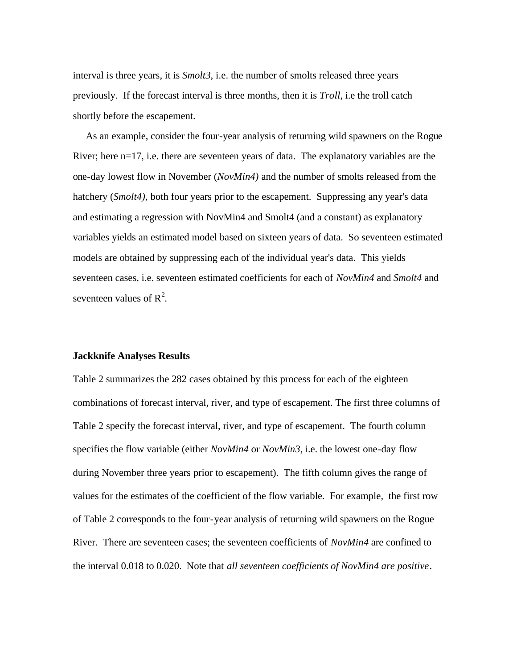interval is three years, it is *Smolt3*, i.e. the number of smolts released three years previously. If the forecast interval is three months, then it is *Troll*, i.e the troll catch shortly before the escapement.

 As an example, consider the four-year analysis of returning wild spawners on the Rogue River; here n=17, i.e. there are seventeen years of data. The explanatory variables are the one-day lowest flow in November (*NovMin4)* and the number of smolts released from the hatchery (*Smolt4)*, both four years prior to the escapement. Suppressing any year's data and estimating a regression with NovMin4 and Smolt4 (and a constant) as explanatory variables yields an estimated model based on sixteen years of data. So seventeen estimated models are obtained by suppressing each of the individual year's data. This yields seventeen cases, i.e. seventeen estimated coefficients for each of *NovMin4* and *Smolt4* and seventeen values of  $R^2$ .

### **Jackknife Analyses Results**

Table 2 summarizes the 282 cases obtained by this process for each of the eighteen combinations of forecast interval, river, and type of escapement. The first three columns of Table 2 specify the forecast interval, river, and type of escapement. The fourth column specifies the flow variable (either *NovMin4* or *NovMin3*, i.e. the lowest one-day flow during November three years prior to escapement). The fifth column gives the range of values for the estimates of the coefficient of the flow variable. For example, the first row of Table 2 corresponds to the four-year analysis of returning wild spawners on the Rogue River. There are seventeen cases; the seventeen coefficients of *NovMin4* are confined to the interval 0.018 to 0.020. Note that *all seventeen coefficients of NovMin4 are positive*.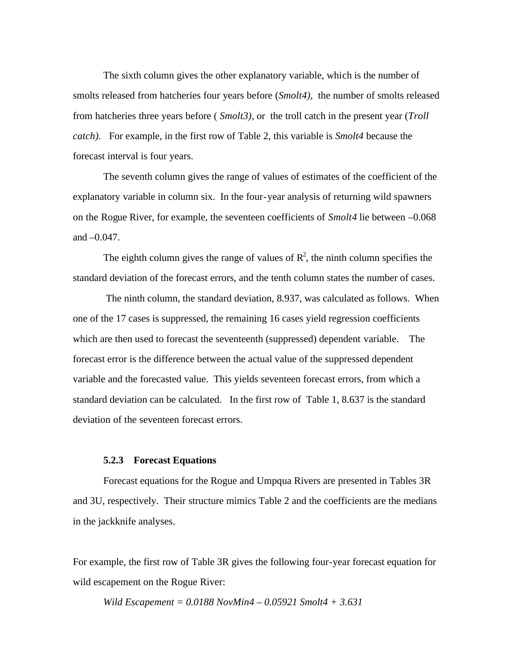The sixth column gives the other explanatory variable, which is the number of smolts released from hatcheries four years before (*Smolt4),* the number of smolts released from hatcheries three years before ( *Smolt3),* or the troll catch in the present year (*Troll catch).* For example, in the first row of Table 2, this variable is *Smolt4* because the forecast interval is four years.

The seventh column gives the range of values of estimates of the coefficient of the explanatory variable in column six. In the four-year analysis of returning wild spawners on the Rogue River, for example, the seventeen coefficients of *Smolt4* lie between –0.068 and –0.047.

The eighth column gives the range of values of  $\mathbb{R}^2$ , the ninth column specifies the standard deviation of the forecast errors, and the tenth column states the number of cases.

 The ninth column, the standard deviation, 8.937, was calculated as follows. When one of the 17 cases is suppressed, the remaining 16 cases yield regression coefficients which are then used to forecast the seventeenth (suppressed) dependent variable. The forecast error is the difference between the actual value of the suppressed dependent variable and the forecasted value. This yields seventeen forecast errors, from which a standard deviation can be calculated. In the first row of Table 1, 8.637 is the standard deviation of the seventeen forecast errors.

### **5.2.3 Forecast Equations**

Forecast equations for the Rogue and Umpqua Rivers are presented in Tables 3R and 3U, respectively. Their structure mimics Table 2 and the coefficients are the medians in the jackknife analyses.

For example, the first row of Table 3R gives the following four-year forecast equation for wild escapement on the Rogue River:

*Wild Escapement = 0.0188 NovMin4 – 0.05921 Smolt4 + 3.631*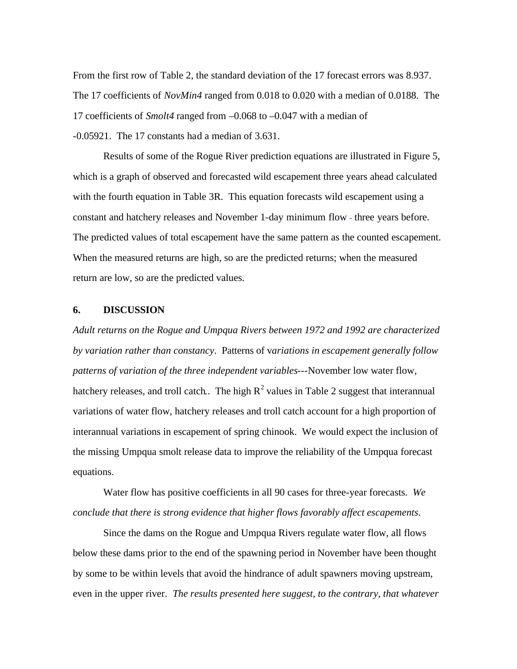From the first row of Table 2, the standard deviation of the 17 forecast errors was 8.937. The 17 coefficients of *NovMin4* ranged from 0.018 to 0.020 with a median of 0.0188. The 17 coefficients of *Smolt4* ranged from –0.068 to –0.047 with a median of -0.05921. The 17 constants had a median of 3.631.

Results of some of the Rogue River prediction equations are illustrated in Figure 5, which is a graph of observed and forecasted wild escapement three years ahead calculated with the fourth equation in Table 3R. This equation forecasts wild escapement using a constant and hatchery releases and November 1-day minimum flow - three years before. The predicted values of total escapement have the same pattern as the counted escapement. When the measured returns are high, so are the predicted returns; when the measured return are low, so are the predicted values.

### **6. DISCUSSION**

*Adult returns on the Rogue and Umpqua Rivers between 1972 and 1992 are characterized by variation rather than constancy*. Patterns of v*ariations in escapement generally follow patterns of variation of the three independent variables---*November low water flow, hatchery releases, and troll catch. The high  $R^2$  values in Table 2 suggest that interannual variations of water flow, hatchery releases and troll catch account for a high proportion of interannual variations in escapement of spring chinook. We would expect the inclusion of the missing Umpqua smolt release data to improve the reliability of the Umpqua forecast equations.

Water flow has positive coefficients in all 90 cases for three-year forecasts. *We conclude that there is strong evidence that higher flows favorably affect escapements*.

Since the dams on the Rogue and Umpqua Rivers regulate water flow, all flows below these dams prior to the end of the spawning period in November have been thought by some to be within levels that avoid the hindrance of adult spawners moving upstream, even in the upper river. *The results presented here suggest, to the contrary, that whatever*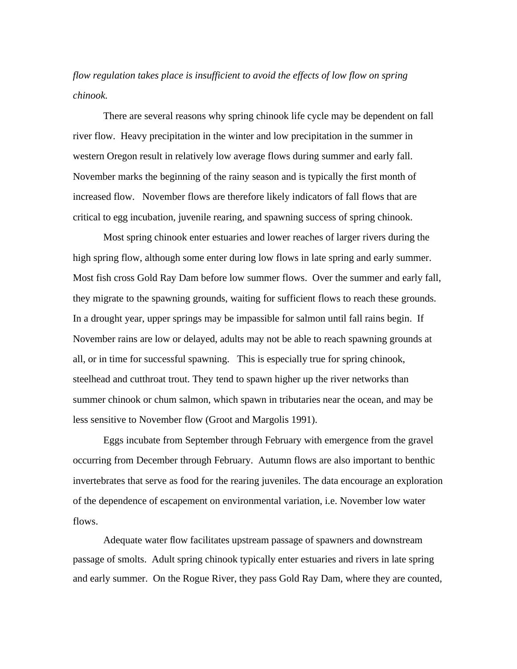## *flow regulation takes place is insufficient to avoid the effects of low flow on spring chinook.*

There are several reasons why spring chinook life cycle may be dependent on fall river flow. Heavy precipitation in the winter and low precipitation in the summer in western Oregon result in relatively low average flows during summer and early fall. November marks the beginning of the rainy season and is typically the first month of increased flow. November flows are therefore likely indicators of fall flows that are critical to egg incubation, juvenile rearing, and spawning success of spring chinook.

Most spring chinook enter estuaries and lower reaches of larger rivers during the high spring flow, although some enter during low flows in late spring and early summer. Most fish cross Gold Ray Dam before low summer flows. Over the summer and early fall, they migrate to the spawning grounds, waiting for sufficient flows to reach these grounds. In a drought year, upper springs may be impassible for salmon until fall rains begin. If November rains are low or delayed, adults may not be able to reach spawning grounds at all, or in time for successful spawning. This is especially true for spring chinook, steelhead and cutthroat trout. They tend to spawn higher up the river networks than summer chinook or chum salmon, which spawn in tributaries near the ocean, and may be less sensitive to November flow (Groot and Margolis 1991).

Eggs incubate from September through February with emergence from the gravel occurring from December through February. Autumn flows are also important to benthic invertebrates that serve as food for the rearing juveniles. The data encourage an exploration of the dependence of escapement on environmental variation, i.e. November low water flows.

Adequate water flow facilitates upstream passage of spawners and downstream passage of smolts. Adult spring chinook typically enter estuaries and rivers in late spring and early summer. On the Rogue River, they pass Gold Ray Dam, where they are counted,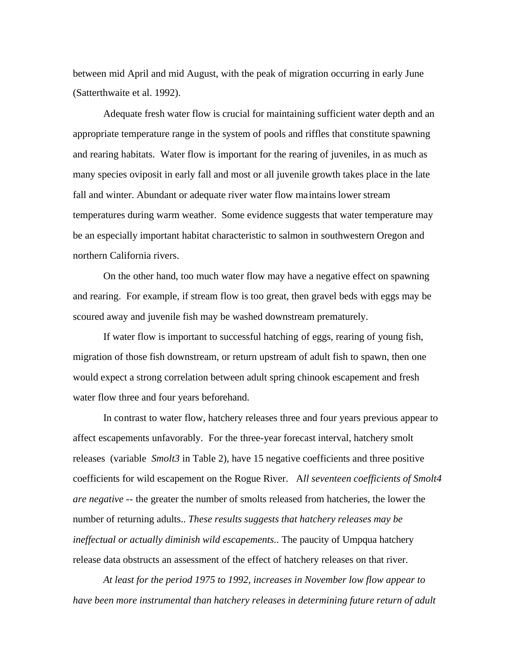between mid April and mid August, with the peak of migration occurring in early June (Satterthwaite et al. 1992).

Adequate fresh water flow is crucial for maintaining sufficient water depth and an appropriate temperature range in the system of pools and riffles that constitute spawning and rearing habitats. Water flow is important for the rearing of juveniles, in as much as many species oviposit in early fall and most or all juvenile growth takes place in the late fall and winter. Abundant or adequate river water flow maintains lower stream temperatures during warm weather. Some evidence suggests that water temperature may be an especially important habitat characteristic to salmon in southwestern Oregon and northern California rivers.

On the other hand, too much water flow may have a negative effect on spawning and rearing. For example, if stream flow is too great, then gravel beds with eggs may be scoured away and juvenile fish may be washed downstream prematurely.

If water flow is important to successful hatching of eggs, rearing of young fish, migration of those fish downstream, or return upstream of adult fish to spawn, then one would expect a strong correlation between adult spring chinook escapement and fresh water flow three and four years beforehand.

In contrast to water flow, hatchery releases three and four years previous appear to affect escapements unfavorably. For the three-year forecast interval, hatchery smolt releases (variable *Smolt3* in Table 2), have 15 negative coefficients and three positive coefficients for wild escapement on the Rogue River. A*ll seventeen coefficients of Smolt4 are negative* -- the greater the number of smolts released from hatcheries, the lower the number of returning adults.. *These results suggests that hatchery releases may be ineffectual or actually diminish wild escapements.*. The paucity of Umpqua hatchery release data obstructs an assessment of the effect of hatchery releases on that river.

*At least for the period 1975 to 1992, increases in November low flow appear to have been more instrumental than hatchery releases in determining future return of adult*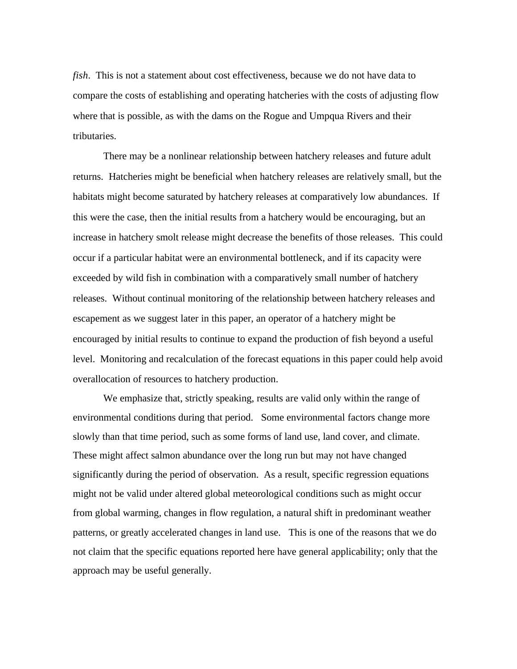*fish*. This is not a statement about cost effectiveness, because we do not have data to compare the costs of establishing and operating hatcheries with the costs of adjusting flow where that is possible, as with the dams on the Rogue and Umpqua Rivers and their tributaries.

There may be a nonlinear relationship between hatchery releases and future adult returns. Hatcheries might be beneficial when hatchery releases are relatively small, but the habitats might become saturated by hatchery releases at comparatively low abundances. If this were the case, then the initial results from a hatchery would be encouraging, but an increase in hatchery smolt release might decrease the benefits of those releases. This could occur if a particular habitat were an environmental bottleneck, and if its capacity were exceeded by wild fish in combination with a comparatively small number of hatchery releases. Without continual monitoring of the relationship between hatchery releases and escapement as we suggest later in this paper, an operator of a hatchery might be encouraged by initial results to continue to expand the production of fish beyond a useful level. Monitoring and recalculation of the forecast equations in this paper could help avoid overallocation of resources to hatchery production.

We emphasize that, strictly speaking, results are valid only within the range of environmental conditions during that period. Some environmental factors change more slowly than that time period, such as some forms of land use, land cover, and climate. These might affect salmon abundance over the long run but may not have changed significantly during the period of observation. As a result, specific regression equations might not be valid under altered global meteorological conditions such as might occur from global warming, changes in flow regulation, a natural shift in predominant weather patterns, or greatly accelerated changes in land use. This is one of the reasons that we do not claim that the specific equations reported here have general applicability; only that the approach may be useful generally.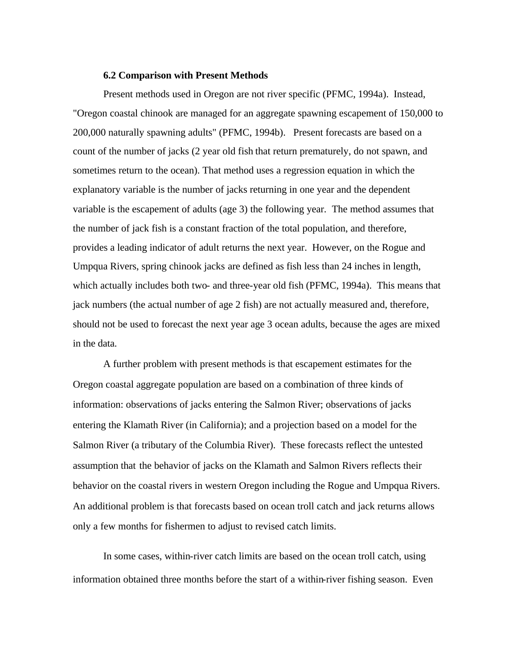### **6.2 Comparison with Present Methods**

Present methods used in Oregon are not river specific (PFMC, 1994a). Instead, "Oregon coastal chinook are managed for an aggregate spawning escapement of 150,000 to 200,000 naturally spawning adults" (PFMC, 1994b). Present forecasts are based on a count of the number of jacks (2 year old fish that return prematurely, do not spawn, and sometimes return to the ocean). That method uses a regression equation in which the explanatory variable is the number of jacks returning in one year and the dependent variable is the escapement of adults (age 3) the following year. The method assumes that the number of jack fish is a constant fraction of the total population, and therefore, provides a leading indicator of adult returns the next year. However, on the Rogue and Umpqua Rivers, spring chinook jacks are defined as fish less than 24 inches in length, which actually includes both two- and three-year old fish (PFMC, 1994a). This means that jack numbers (the actual number of age 2 fish) are not actually measured and, therefore, should not be used to forecast the next year age 3 ocean adults, because the ages are mixed in the data.

A further problem with present methods is that escapement estimates for the Oregon coastal aggregate population are based on a combination of three kinds of information: observations of jacks entering the Salmon River; observations of jacks entering the Klamath River (in California); and a projection based on a model for the Salmon River (a tributary of the Columbia River). These forecasts reflect the untested assumption that the behavior of jacks on the Klamath and Salmon Rivers reflects their behavior on the coastal rivers in western Oregon including the Rogue and Umpqua Rivers. An additional problem is that forecasts based on ocean troll catch and jack returns allows only a few months for fishermen to adjust to revised catch limits.

In some cases, within-river catch limits are based on the ocean troll catch, using information obtained three months before the start of a within-river fishing season. Even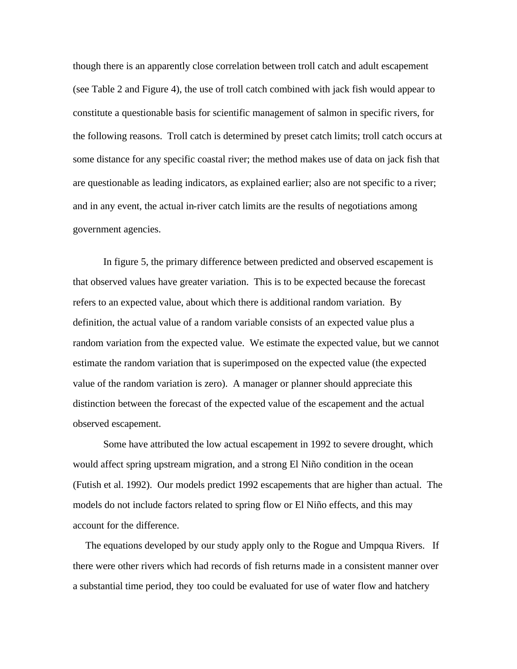though there is an apparently close correlation between troll catch and adult escapement (see Table 2 and Figure 4), the use of troll catch combined with jack fish would appear to constitute a questionable basis for scientific management of salmon in specific rivers, for the following reasons. Troll catch is determined by preset catch limits; troll catch occurs at some distance for any specific coastal river; the method makes use of data on jack fish that are questionable as leading indicators, as explained earlier; also are not specific to a river; and in any event, the actual in-river catch limits are the results of negotiations among government agencies.

In figure 5, the primary difference between predicted and observed escapement is that observed values have greater variation. This is to be expected because the forecast refers to an expected value, about which there is additional random variation. By definition, the actual value of a random variable consists of an expected value plus a random variation from the expected value. We estimate the expected value, but we cannot estimate the random variation that is superimposed on the expected value (the expected value of the random variation is zero). A manager or planner should appreciate this distinction between the forecast of the expected value of the escapement and the actual observed escapement.

Some have attributed the low actual escapement in 1992 to severe drought, which would affect spring upstream migration, and a strong El Niño condition in the ocean (Futish et al. 1992). Our models predict 1992 escapements that are higher than actual. The models do not include factors related to spring flow or El Niño effects, and this may account for the difference.

 The equations developed by our study apply only to the Rogue and Umpqua Rivers. If there were other rivers which had records of fish returns made in a consistent manner over a substantial time period, they too could be evaluated for use of water flow and hatchery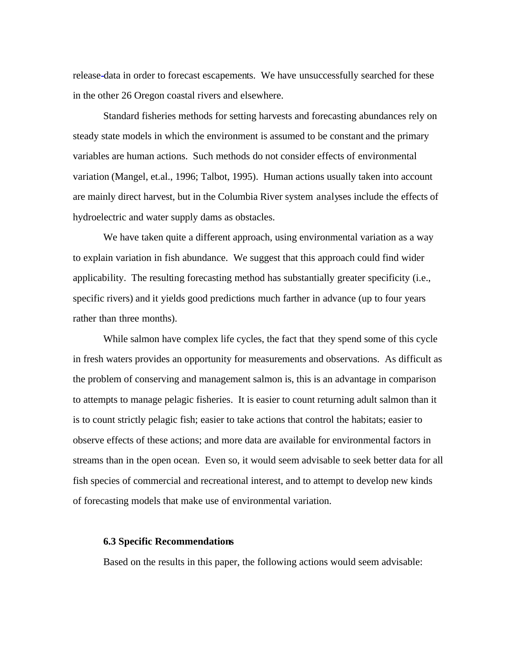release data in order to forecast escapements. We have unsuccessfully searched for these in the other 26 Oregon coastal rivers and elsewhere.

Standard fisheries methods for setting harvests and forecasting abundances rely on steady state models in which the environment is assumed to be constant and the primary variables are human actions. Such methods do not consider effects of environmental variation (Mangel, et.al., 1996; Talbot, 1995). Human actions usually taken into account are mainly direct harvest, but in the Columbia River system analyses include the effects of hydroelectric and water supply dams as obstacles.

We have taken quite a different approach, using environmental variation as a way to explain variation in fish abundance. We suggest that this approach could find wider applicability. The resulting forecasting method has substantially greater specificity (i.e., specific rivers) and it yields good predictions much farther in advance (up to four years rather than three months).

While salmon have complex life cycles, the fact that they spend some of this cycle in fresh waters provides an opportunity for measurements and observations. As difficult as the problem of conserving and management salmon is, this is an advantage in comparison to attempts to manage pelagic fisheries. It is easier to count returning adult salmon than it is to count strictly pelagic fish; easier to take actions that control the habitats; easier to observe effects of these actions; and more data are available for environmental factors in streams than in the open ocean. Even so, it would seem advisable to seek better data for all fish species of commercial and recreational interest, and to attempt to develop new kinds of forecasting models that make use of environmental variation.

#### **6.3 Specific Recommendations**

Based on the results in this paper, the following actions would seem advisable: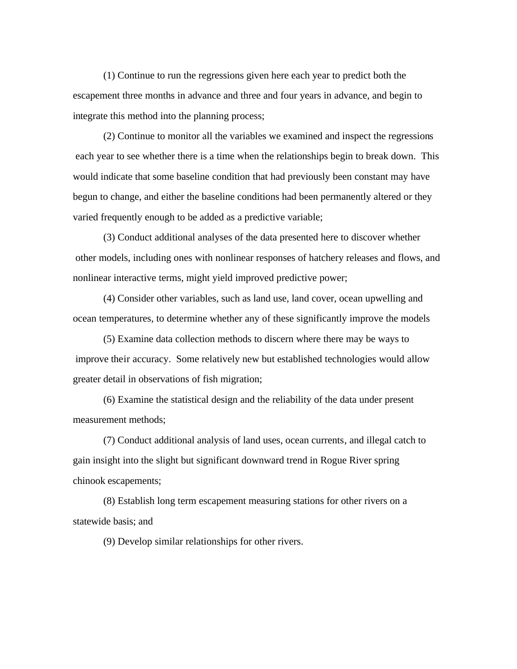(1) Continue to run the regressions given here each year to predict both the escapement three months in advance and three and four years in advance, and begin to integrate this method into the planning process;

(2) Continue to monitor all the variables we examined and inspect the regressions each year to see whether there is a time when the relationships begin to break down. This would indicate that some baseline condition that had previously been constant may have begun to change, and either the baseline conditions had been permanently altered or they varied frequently enough to be added as a predictive variable;

(3) Conduct additional analyses of the data presented here to discover whether other models, including ones with nonlinear responses of hatchery releases and flows, and nonlinear interactive terms, might yield improved predictive power;

(4) Consider other variables, such as land use, land cover, ocean upwelling and ocean temperatures, to determine whether any of these significantly improve the models

(5) Examine data collection methods to discern where there may be ways to improve their accuracy. Some relatively new but established technologies would allow greater detail in observations of fish migration;

(6) Examine the statistical design and the reliability of the data under present measurement methods;

(7) Conduct additional analysis of land uses, ocean currents, and illegal catch to gain insight into the slight but significant downward trend in Rogue River spring chinook escapements;

(8) Establish long term escapement measuring stations for other rivers on a statewide basis; and

(9) Develop similar relationships for other rivers.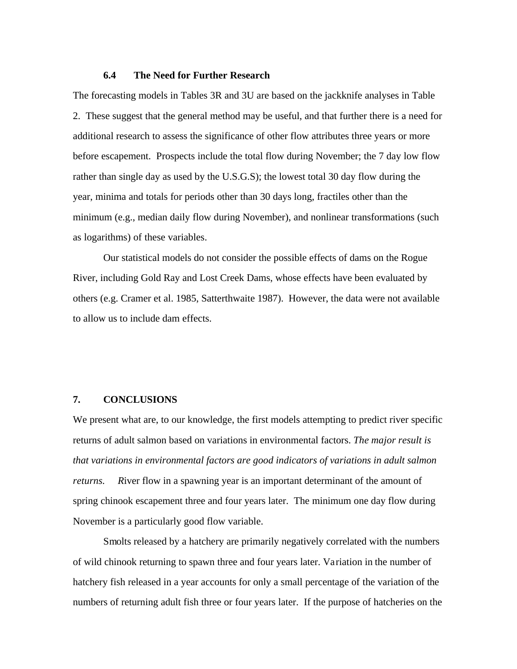### **6.4 The Need for Further Research**

The forecasting models in Tables 3R and 3U are based on the jackknife analyses in Table 2. These suggest that the general method may be useful, and that further there is a need for additional research to assess the significance of other flow attributes three years or more before escapement. Prospects include the total flow during November; the 7 day low flow rather than single day as used by the U.S.G.S); the lowest total 30 day flow during the year, minima and totals for periods other than 30 days long, fractiles other than the minimum (e.g., median daily flow during November), and nonlinear transformations (such as logarithms) of these variables.

Our statistical models do not consider the possible effects of dams on the Rogue River, including Gold Ray and Lost Creek Dams, whose effects have been evaluated by others (e.g. Cramer et al. 1985, Satterthwaite 1987). However, the data were not available to allow us to include dam effects.

### **7. CONCLUSIONS**

We present what are, to our knowledge, the first models attempting to predict river specific returns of adult salmon based on variations in environmental factors. *The major result is that variations in environmental factors are good indicators of variations in adult salmon returns. R*iver flow in a spawning year is an important determinant of the amount of spring chinook escapement three and four years later. The minimum one day flow during November is a particularly good flow variable.

Smolts released by a hatchery are primarily negatively correlated with the numbers of wild chinook returning to spawn three and four years later. Variation in the number of hatchery fish released in a year accounts for only a small percentage of the variation of the numbers of returning adult fish three or four years later. If the purpose of hatcheries on the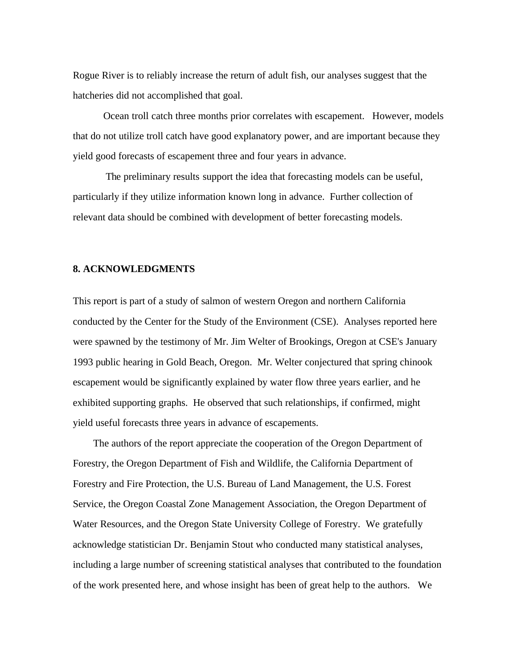Rogue River is to reliably increase the return of adult fish, our analyses suggest that the hatcheries did not accomplished that goal.

Ocean troll catch three months prior correlates with escapement. However, models that do not utilize troll catch have good explanatory power, and are important because they yield good forecasts of escapement three and four years in advance.

The preliminary results support the idea that forecasting models can be useful, particularly if they utilize information known long in advance. Further collection of relevant data should be combined with development of better forecasting models.

### **8. ACKNOWLEDGMENTS**

This report is part of a study of salmon of western Oregon and northern California conducted by the Center for the Study of the Environment (CSE). Analyses reported here were spawned by the testimony of Mr. Jim Welter of Brookings, Oregon at CSE's January 1993 public hearing in Gold Beach, Oregon. Mr. Welter conjectured that spring chinook escapement would be significantly explained by water flow three years earlier, and he exhibited supporting graphs. He observed that such relationships, if confirmed, might yield useful forecasts three years in advance of escapements.

 The authors of the report appreciate the cooperation of the Oregon Department of Forestry, the Oregon Department of Fish and Wildlife, the California Department of Forestry and Fire Protection, the U.S. Bureau of Land Management, the U.S. Forest Service, the Oregon Coastal Zone Management Association, the Oregon Department of Water Resources, and the Oregon State University College of Forestry. We gratefully acknowledge statistician Dr. Benjamin Stout who conducted many statistical analyses, including a large number of screening statistical analyses that contributed to the foundation of the work presented here, and whose insight has been of great help to the authors. We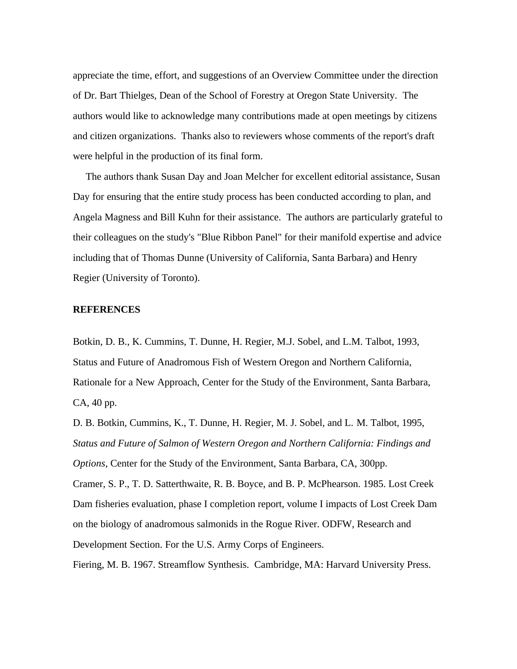appreciate the time, effort, and suggestions of an Overview Committee under the direction of Dr. Bart Thielges, Dean of the School of Forestry at Oregon State University. The authors would like to acknowledge many contributions made at open meetings by citizens and citizen organizations. Thanks also to reviewers whose comments of the report's draft were helpful in the production of its final form.

 The authors thank Susan Day and Joan Melcher for excellent editorial assistance, Susan Day for ensuring that the entire study process has been conducted according to plan, and Angela Magness and Bill Kuhn for their assistance. The authors are particularly grateful to their colleagues on the study's "Blue Ribbon Panel" for their manifold expertise and advice including that of Thomas Dunne (University of California, Santa Barbara) and Henry Regier (University of Toronto).

### **REFERENCES**

Botkin, D. B., K. Cummins, T. Dunne, H. Regier, M.J. Sobel, and L.M. Talbot, 1993, Status and Future of Anadromous Fish of Western Oregon and Northern California, Rationale for a New Approach, Center for the Study of the Environment, Santa Barbara, CA, 40 pp.

D. B. Botkin, Cummins, K., T. Dunne, H. Regier, M. J. Sobel, and L. M. Talbot, 1995, *Status and Future of Salmon of Western Oregon and Northern California: Findings and Options*, Center for the Study of the Environment, Santa Barbara, CA, 300pp. Cramer, S. P., T. D. Satterthwaite, R. B. Boyce, and B. P. McPhearson. 1985. Lost Creek Dam fisheries evaluation, phase I completion report, volume I impacts of Lost Creek Dam on the biology of anadromous salmonids in the Rogue River. ODFW, Research and Development Section. For the U.S. Army Corps of Engineers.

Fiering, M. B. 1967. Streamflow Synthesis. Cambridge, MA: Harvard University Press.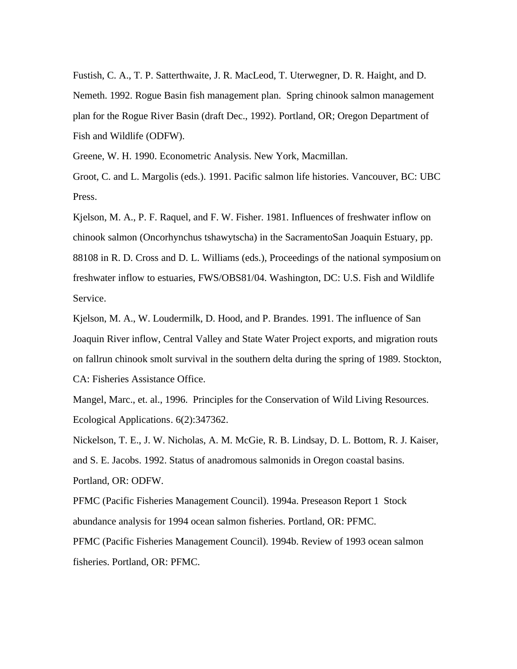Fustish, C. A., T. P. Satterthwaite, J. R. MacLeod, T. Uterwegner, D. R. Haight, and D. Nemeth. 1992. Rogue Basin fish management plan. Spring chinook salmon management plan for the Rogue River Basin (draft Dec., 1992). Portland, OR; Oregon Department of Fish and Wildlife (ODFW).

Greene, W. H. 1990. Econometric Analysis. New York, Macmillan.

Groot, C. and L. Margolis (eds.). 1991. Pacific salmon life histories. Vancouver, BC: UBC Press.

Kjelson, M. A., P. F. Raquel, and F. W. Fisher. 1981. Influences of freshwater inflow on chinook salmon (Oncorhynchus tshawytscha) in the SacramentoSan Joaquin Estuary, pp. 88108 in R. D. Cross and D. L. Williams (eds.), Proceedings of the national symposium on freshwater inflow to estuaries, FWS/OBS81/04. Washington, DC: U.S. Fish and Wildlife Service.

Kjelson, M. A., W. Loudermilk, D. Hood, and P. Brandes. 1991. The influence of San Joaquin River inflow, Central Valley and State Water Project exports, and migration routs on fallrun chinook smolt survival in the southern delta during the spring of 1989. Stockton, CA: Fisheries Assistance Office.

Mangel, Marc., et. al., 1996. Principles for the Conservation of Wild Living Resources. Ecological Applications. 6(2):347362.

Nickelson, T. E., J. W. Nicholas, A. M. McGie, R. B. Lindsay, D. L. Bottom, R. J. Kaiser, and S. E. Jacobs. 1992. Status of anadromous salmonids in Oregon coastal basins. Portland, OR: ODFW.

PFMC (Pacific Fisheries Management Council). 1994a. Preseason Report 1 Stock abundance analysis for 1994 ocean salmon fisheries. Portland, OR: PFMC.

PFMC (Pacific Fisheries Management Council). 1994b. Review of 1993 ocean salmon fisheries. Portland, OR: PFMC.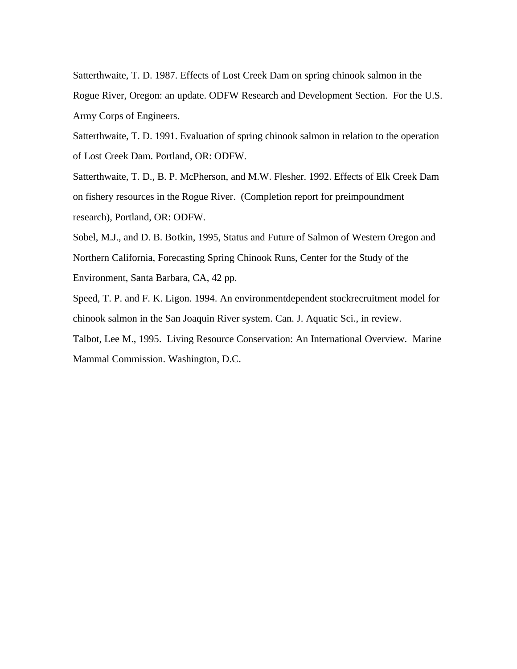Satterthwaite, T. D. 1987. Effects of Lost Creek Dam on spring chinook salmon in the Rogue River, Oregon: an update. ODFW Research and Development Section. For the U.S. Army Corps of Engineers.

Satterthwaite, T. D. 1991. Evaluation of spring chinook salmon in relation to the operation of Lost Creek Dam. Portland, OR: ODFW.

Satterthwaite, T. D., B. P. McPherson, and M.W. Flesher. 1992. Effects of Elk Creek Dam on fishery resources in the Rogue River. (Completion report for preimpoundment research), Portland, OR: ODFW.

Sobel, M.J., and D. B. Botkin, 1995, Status and Future of Salmon of Western Oregon and Northern California, Forecasting Spring Chinook Runs, Center for the Study of the Environment, Santa Barbara, CA, 42 pp.

Speed, T. P. and F. K. Ligon. 1994. An environmentdependent stockrecruitment model for chinook salmon in the San Joaquin River system. Can. J. Aquatic Sci., in review.

Talbot, Lee M., 1995. Living Resource Conservation: An International Overview. Marine Mammal Commission. Washington, D.C.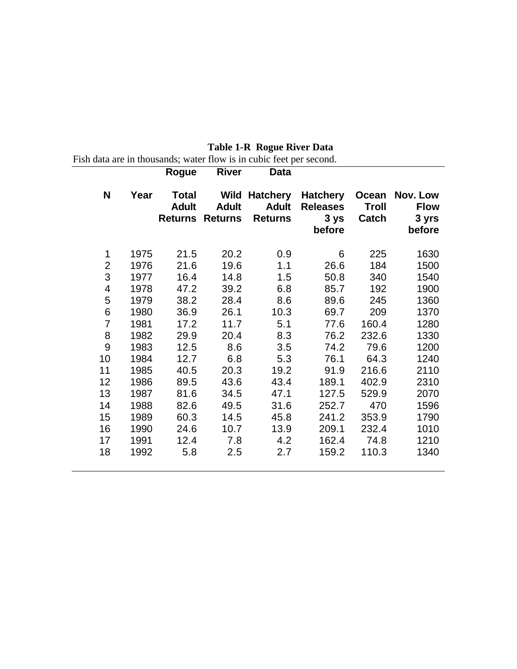|                         |      |                       | <b>Rogue River</b>                     | Data                   |                                                      |           |                                                  |
|-------------------------|------|-----------------------|----------------------------------------|------------------------|------------------------------------------------------|-----------|--------------------------------------------------|
| N                       | Year | Total<br><b>Adult</b> | <b>Adult</b><br><b>Returns Returns</b> | Wild Hatchery<br>Adult | Releases Troll<br>Returns 3 ys Catch 3 yrs<br>before |           | Hatchery Ocean Nov. Low<br><b>Flow</b><br>before |
| 1                       | 1975 | 21.5                  | 20.2                                   | 0.9                    | 6                                                    | 225       | 1630                                             |
| $\mathbf{2}$            | 1976 | 21.6                  | 19.6                                   | 1.1                    | 26.6                                                 | 184       | 1500                                             |
| 3                       | 1977 | 16.4                  | 14.8                                   | 1.5                    | 50.8                                                 | 340       | 1540                                             |
| $\overline{\mathbf{4}}$ | 1978 | 47.2                  | 39.2                                   | 6.8                    | 85.7                                                 | 192       | 1900                                             |
| 5                       | 1979 | 38.2                  | 28.4                                   | 8.6                    | 89.6                                                 | 245       | 1360                                             |
| $\,$ 6 $\,$             | 1980 | 36.9                  | 26.1                                   | 10.3                   | 69.7                                                 | 209       | 1370                                             |
| $\overline{7}$          | 1981 | 17.2                  | 11.7                                   | 5.1                    | 77.6                                                 | 160.4     | 1280                                             |
| 8                       | 1982 | 29.9                  | 20.4                                   | 8.3                    | 76.2                                                 | 232.6     | 1330                                             |
| 9                       | 1983 | 12.5                  | 8.6                                    | 3.5                    | 74.2                                                 | 79.6      | 1200                                             |
| 10                      | 1984 | 12.7                  | 6.8                                    | 5.3                    | 76.1                                                 | 64.3      | 1240                                             |
| 11                      | 1985 | 40.5                  | 20.3                                   | 19.2                   | 91.9                                                 | 216.6     | 2110                                             |
| 12                      | 1986 | 89.5                  | 43.6                                   | 43.4                   | 189.1                                                | 402.9     | 2310                                             |
| 13                      | 1987 | 81.6                  | 34.5                                   | 47.1                   | 127.5                                                | 529.9     | 2070                                             |
| 14                      | 1988 | 82.6                  | 49.5                                   | 31.6                   |                                                      | 252.7 470 | 1596                                             |
| 15                      | 1989 | 60.3                  | 14.5                                   | 45.8                   | 241.2                                                | 353.9     | 1790                                             |
| 16                      | 1990 | 24.6                  | 10.7                                   | 13.9                   | 209.1                                                | 232.4     | 1010                                             |
| 17                      | 1991 | 12.4                  | 7.8                                    | 4.2                    | 162.4                                                | 74.8      | 1210                                             |
| 18                      | 1992 | 5.8                   | 2.5                                    | 2.7                    | 159.2                                                | 110.3     | 1340                                             |

**Table 1-R Rogue River Data**

Fish data are in thousands; water flow is in cubic feet per second.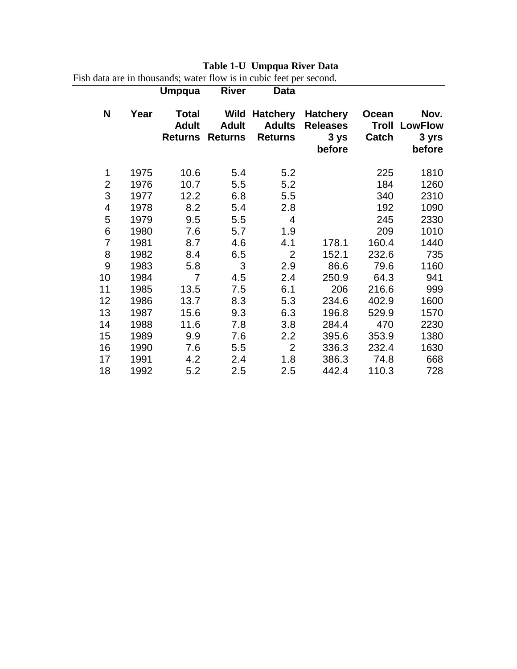## **Table 1-U Umpqua River Data**

Fish data are in thousands; water flow is in cubic feet per second.

|                          |      | Umpqua                                         | <b>River</b>                           | Data                                               |                                                      |                         |                                           |
|--------------------------|------|------------------------------------------------|----------------------------------------|----------------------------------------------------|------------------------------------------------------|-------------------------|-------------------------------------------|
| N                        | Year | <b>Total</b><br><b>Adult</b><br><b>Returns</b> | Wild<br><b>Adult</b><br><b>Returns</b> | <b>Hatchery</b><br><b>Adults</b><br><b>Returns</b> | <b>Hatchery</b><br><b>Releases</b><br>3 ys<br>before | Ocean<br>Troll<br>Catch | Nov.<br><b>LowFlow</b><br>3 yrs<br>before |
| 1                        | 1975 | 10.6                                           | 5.4                                    | 5.2                                                |                                                      | 225                     | 1810                                      |
| $\overline{2}$           | 1976 | 10.7                                           | 5.5                                    | 5.2                                                |                                                      | 184                     | 1260                                      |
| 3                        | 1977 | 12.2                                           | 6.8                                    | 5.5                                                |                                                      | 340                     | 2310                                      |
| $\overline{\mathcal{A}}$ | 1978 | 8.2                                            | 5.4                                    | 2.8                                                |                                                      | 192                     | 1090                                      |
| 5                        | 1979 | 9.5                                            | 5.5                                    | 4                                                  |                                                      | 245                     | 2330                                      |
| 6                        | 1980 | 7.6                                            | 5.7                                    | 1.9                                                |                                                      | 209                     | 1010                                      |
| $\overline{7}$           | 1981 | 8.7                                            | 4.6                                    | 4.1                                                | 178.1                                                | 160.4                   | 1440                                      |
| 8                        | 1982 | 8.4                                            | 6.5                                    | $\overline{2}$                                     | 152.1                                                | 232.6                   | 735                                       |
| 9                        | 1983 | 5.8                                            | 3                                      | 2.9                                                | 86.6                                                 | 79.6                    | 1160                                      |
| 10                       | 1984 | 7                                              | 4.5                                    | 2.4                                                | 250.9                                                | 64.3                    | 941                                       |
| 11                       | 1985 | 13.5                                           | 7.5                                    | 6.1                                                | 206                                                  | 216.6                   | 999                                       |
| 12                       | 1986 | 13.7                                           | 8.3                                    | 5.3                                                | 234.6                                                | 402.9                   | 1600                                      |
| 13                       | 1987 | 15.6                                           | 9.3                                    | 6.3                                                | 196.8                                                | 529.9                   | 1570                                      |
| 14                       | 1988 | 11.6                                           | 7.8                                    | 3.8                                                | 284.4                                                | 470                     | 2230                                      |
| 15                       | 1989 | 9.9                                            | 7.6                                    | 2.2                                                | 395.6                                                | 353.9                   | 1380                                      |
| 16                       | 1990 | 7.6                                            | 5.5                                    | $\overline{2}$                                     | 336.3                                                | 232.4                   | 1630                                      |
| 17                       | 1991 | 4.2                                            | 2.4                                    | 1.8                                                | 386.3                                                | 74.8                    | 668                                       |
| 18                       | 1992 | 5.2                                            | 2.5                                    | 2.5                                                | 442.4                                                | 110.3                   | 728                                       |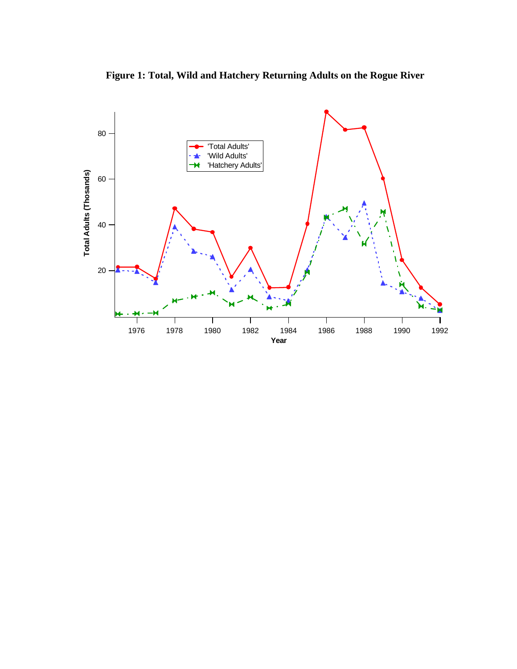

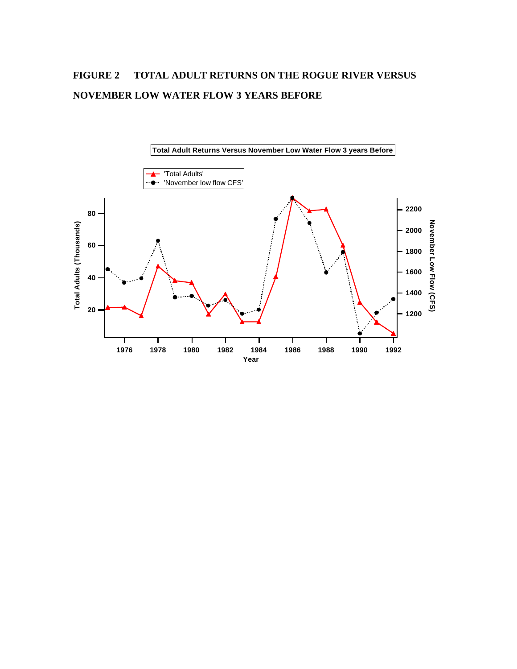## **FIGURE 2 TOTAL ADULT RETURNS ON THE ROGUE RIVER VERSUS NOVEMBER LOW WATER FLOW 3 YEARS BEFORE**

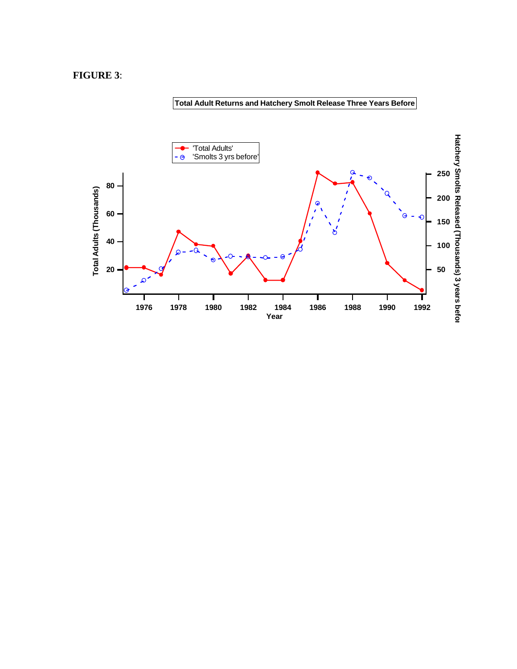### **FIGURE 3**:

### **Total Adult Returns and Hatchery Smolt Release Three Years Before**

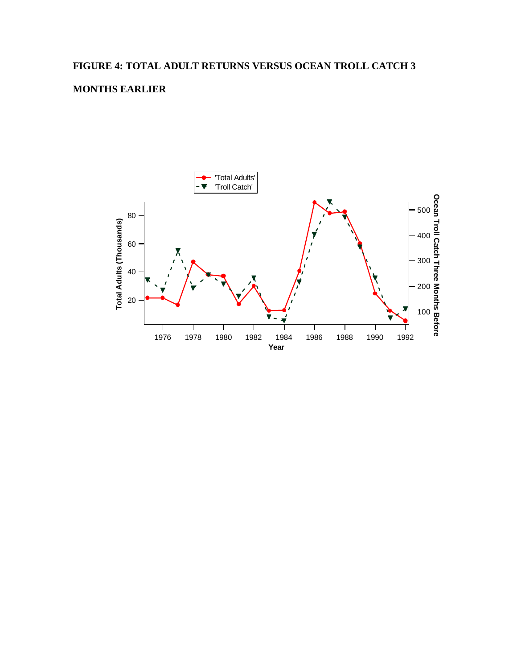## **FIGURE 4: TOTAL ADULT RETURNS VERSUS OCEAN TROLL CATCH 3**

### **MONTHS EARLIER**

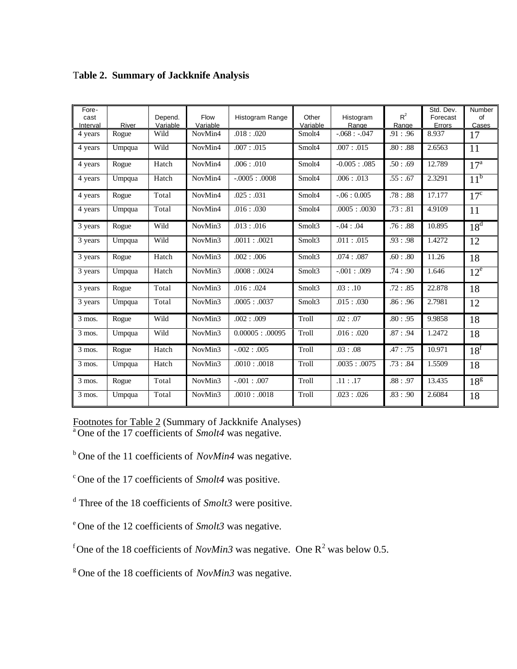| Fore-<br>cast<br>Interval | River  | Depend.<br>Variable | Flow<br>Variable | Histogram Range    | Other<br>Variable | Histogram<br>Range | $R^2$<br>Range | Std. Dev.<br>Forecast<br>Errors | Number<br>of<br>Cases |
|---------------------------|--------|---------------------|------------------|--------------------|-------------------|--------------------|----------------|---------------------------------|-----------------------|
| 4 years                   | Rogue  | Wild                | NovMin4          | .018: .020         | Smolt4            | $-0.068: -0.047$   | .91: .96       | 8.937                           | 17                    |
| 4 years                   | Umpqua | Wild                | NovMin4          | .007: .015         | Smolt4            | .007: .015         | .80:0.88       | 2.6563                          | 11                    |
| 4 years                   | Rogue  | Hatch               | NovMin4          | .006: .010         | Smolt4            | $-0.005 : .085$    | .50:0.69       | 12.789                          | 17 <sup>a</sup>       |
| 4 years                   | Umpqua | Hatch               | NovMin4          | $-.0005: .0008$    | Smolt4            | .006: .013         | .55: .67       | 2.3291                          | 11 <sup>b</sup>       |
| 4 years                   | Rogue  | Total               | NovMin4          | .025: .031         | Smolt4            | $-.06:0.005$       | .78:0.88       | 17.177                          | 17 <sup>c</sup>       |
| 4 years                   | Umpqua | Total               | NovMin4          | .016: .030         | Smolt4            | .0005: .0030       | .73: .81       | 4.9109                          | 11                    |
| 3 years                   | Rogue  | Wild                | NovMin3          | .013: .016         | Smolt3            | $-.04:04$          | .76:0.88       | 10.895                          | 18 <sup>d</sup>       |
| 3 years                   | Umpqua | Wild                | NovMin3          | .0011: .0021       | Smolt3            | .011: .015         | .93: .98       | 1.4272                          | 12                    |
| 3 years                   | Rogue  | Hatch               | NovMin3          | .002: .006         | Smolt3            | .074: .087         | .60:0.80       | 11.26                           | 18                    |
| 3 years                   | Umpqua | Hatch               | NovMin3          | .0008: .0024       | Smolt3            | $-.001$ : .009     | .74: .90       | 1.646                           | $12^e$                |
| 3 years                   | Rogue  | Total               | NovMin3          | .016: .024         | Smolt3            | .03: .10           | .72: .85       | 22.878                          | 18                    |
| 3 years                   | Umpqua | Total               | NovMin3          | .0005: .0037       | Smolt3            | .015: .030         | .86: .96       | 2.7981                          | 12                    |
| $3$ mos.                  | Rogue  | Wild                | NovMin3          | .002: .009         | Troll             | .02: .07           | .80: .95       | 9.9858                          | 18                    |
| $\overline{3}$ mos.       | Umpqua | Wild                | NovMin3          | $0.00005$ : .00095 | Troll             | .016: .020         | .87: .94       | 1.2472                          | 18                    |
| 3 mos.                    | Rogue  | Hatch               | NovMin3          | $-.002:005$        | Troll             | .03:08             | .47: .75       | 10.971                          | 18 <sup>f</sup>       |
| 3 mos.                    | Umpqua | Hatch               | NovMin3          | .0010: .0018       | Troll             | .0035: .0075       | .73: .84       | 1.5509                          | 18                    |
| 3 mos.                    | Rogue  | Total               | NovMin3          | $-.001:007$        | Troll             | .11: .17           | .88: .97       | 13.435                          | 18 <sup>g</sup>       |
| $\overline{3}$ mos.       | Umpqua | Total               | NovMin3          | .0010: .0018       | Troll             | .023: .026         | .83: .90       | 2.6084                          | 18                    |

## T**able 2. Summary of Jackknife Analysis**

Footnotes for Table 2 (Summary of Jackknife Analyses) <sup>a</sup>One of the 17 coefficients of *Smolt4* was negative.

<sup>b</sup> One of the 11 coefficients of *NovMin4* was negative.

 $\degree$  One of the 17 coefficients of *Smolt4* was positive.

d Three of the 18 coefficients of *Smolt3* were positive.

<sup>e</sup> One of the 12 coefficients of *Smolt3* was negative.

<sup>f</sup> One of the 18 coefficients of *NovMin3* was negative. One  $R^2$  was below 0.5.

<sup>g</sup> One of the 18 coefficients of *NovMin3* was negative.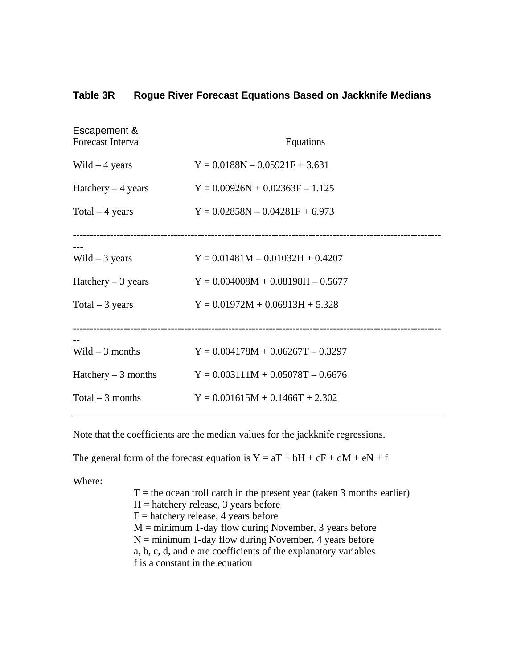### **Table 3R Rogue River Forecast Equations Based on Jackknife Medians**

| <b>Escapement &amp;</b><br><b>Forecast Interval</b> | <b>Equations</b>                    |
|-----------------------------------------------------|-------------------------------------|
| Wild $-4$ years                                     | $Y = 0.0188N - 0.05921F + 3.631$    |
| Hatchery $-4$ years                                 | $Y = 0.00926N + 0.02363F - 1.125$   |
| Total $-4$ years                                    | $Y = 0.02858N - 0.04281F + 6.973$   |
|                                                     |                                     |
| Wild $-3$ years                                     | $Y = 0.01481M - 0.01032H + 0.4207$  |
| Hatchery $-3$ years                                 | $Y = 0.004008M + 0.08198H - 0.5677$ |
| Total $-3$ years                                    | $Y = 0.01972M + 0.06913H + 5.328$   |
|                                                     |                                     |
| Wild $-3$ months                                    | $Y = 0.004178M + 0.06267T - 0.3297$ |
| Hatchery $-3$ months                                | $Y = 0.003111M + 0.05078T - 0.6676$ |
| Total $-3$ months                                   | $Y = 0.001615M + 0.1466T + 2.302$   |

Note that the coefficients are the median values for the jackknife regressions.

The general form of the forecast equation is  $Y = aT + bH + cF + dM + eN + f$ 

Where:

 $T =$  the ocean troll catch in the present year (taken 3 months earlier)  $H =$  hatchery release, 3 years before  $F =$  hatchery release, 4 years before  $M =$  minimum 1-day flow during November, 3 years before  $N =$  minimum 1-day flow during November, 4 years before a, b, c, d, and e are coefficients of the explanatory variables f is a constant in the equation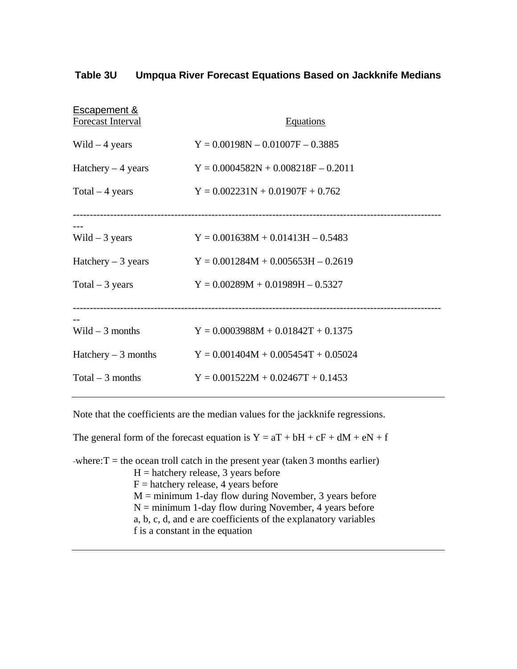| Table 3U | Umpqua River Forecast Equations Based on Jackknife Medians |  |  |  |
|----------|------------------------------------------------------------|--|--|--|
|          |                                                            |  |  |  |

| <b>Escapement &amp;</b><br><b>Forecast Interval</b> | <b>Equations</b>                      |
|-----------------------------------------------------|---------------------------------------|
| Wild $-4$ years                                     | $Y = 0.00198N - 0.01007F - 0.3885$    |
| Hatchery $-4$ years                                 | $Y = 0.0004582N + 0.008218F - 0.2011$ |
| Total $-4$ years                                    | $Y = 0.002231N + 0.01907F + 0.762$    |
|                                                     |                                       |
| Wild $-3$ years                                     | $Y = 0.001638M + 0.01413H - 0.5483$   |
| Hatchery $-3$ years                                 | $Y = 0.001284M + 0.005653H - 0.2619$  |
| Total $-3$ years                                    | $Y = 0.00289M + 0.01989H - 0.5327$    |
|                                                     |                                       |
| Wild $-3$ months                                    | $Y = 0.0003988M + 0.01842T + 0.1375$  |
| Hatchery $-3$ months                                | $Y = 0.001404M + 0.005454T + 0.05024$ |
| Total $-3$ months                                   | $Y = 0.001522M + 0.02467T + 0.1453$   |

Note that the coefficients are the median values for the jackknife regressions.

The general form of the forecast equation is  $Y = aT + bH + cF + dM + eN + f$ 

-where: $T =$  the ocean troll catch in the present year (taken 3 months earlier)  $H =$  hatchery release, 3 years before  $F =$  hatchery release, 4 years before  $M =$  minimum 1-day flow during November, 3 years before  $N =$  minimum 1-day flow during November, 4 years before a, b, c, d, and e are coefficients of the explanatory variables f is a constant in the equation